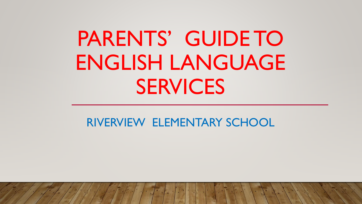# PARENTS' GUIDE TO ENGLISH LANGUAGE **SERVICES**

#### RIVERVIEW ELEMENTARY SCHOOL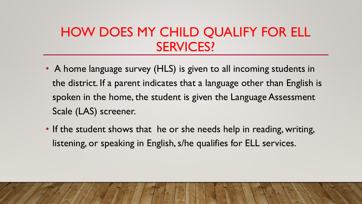## HOW DOES MY CHILD QUALIFY FOR ELL SERVICES?

- A home language survey (HLS) is given to all incoming students in the district. If a parent indicates that a language other than English is spoken in the home, the student is given the Language Assessment Scale (LAS) screener.
- If the student shows that he or she needs help in reading, writing, listening, or speaking in English, s/he qualifies for ELL services.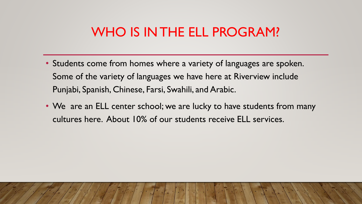#### WHO IS IN THE ELL PROGRAM?

- Students come from homes where a variety of languages are spoken. Some of the variety of languages we have here at Riverview include Punjabi, Spanish, Chinese, Farsi, Swahili, and Arabic.
- We are an ELL center school; we are lucky to have students from many cultures here. About 10% of our students receive ELL services.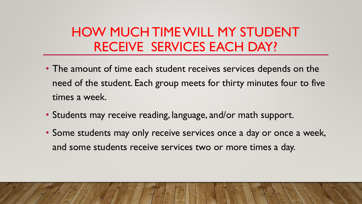## HOW MUCH TIME WILL MY STUDENT RECEIVE SERVICES EACH DAY?

- The amount of time each student receives services depends on the need of the student. Each group meets for thirty minutes four to five times a week.
- Students may receive reading, language, and/or math support.
- Some students may only receive services once a day or once a week, and some students receive services two or more times a day.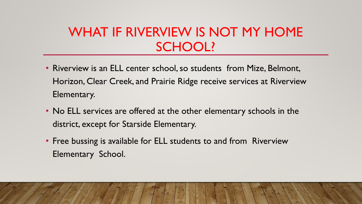## WHAT IF RIVERVIEW IS NOT MY HOME SCHOOL?

- Riverview is an ELL center school, so students from Mize, Belmont, Horizon, Clear Creek, and Prairie Ridge receive services at Riverview Elementary.
- No ELL services are offered at the other elementary schools in the district, except for Starside Elementary.
- Free bussing is available for ELL students to and from Riverview Elementary School.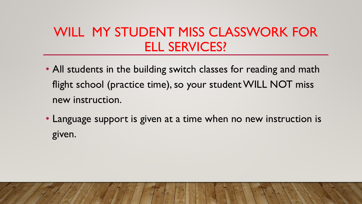## WILL MY STUDENT MISS CLASSWORK FOR ELL SERVICES?

- All students in the building switch classes for reading and math flight school (practice time), so your student WILL NOT miss new instruction.
- Language support is given at a time when no new instruction is given.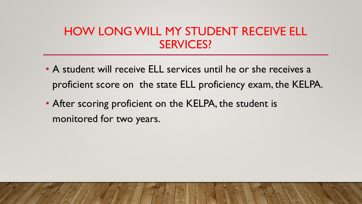#### HOW LONG WILL MY STUDENT RECEIVE ELL SERVICES?

- A student will receive ELL services until he or she receives a proficient score on the state ELL proficiency exam, the KELPA.
- After scoring proficient on the KELPA, the student is monitored for two years.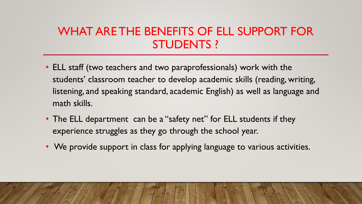#### WHAT ARE THE BENEFITS OF ELL SUPPORT FOR STUDENTS ?

- ELL staff (two teachers and two paraprofessionals) work with the students' classroom teacher to develop academic skills (reading, writing, listening, and speaking standard, academic English) as well as language and math skills.
- The ELL department can be a "safety net" for ELL students if they experience struggles as they go through the school year.
- We provide support in class for applying language to various activities.